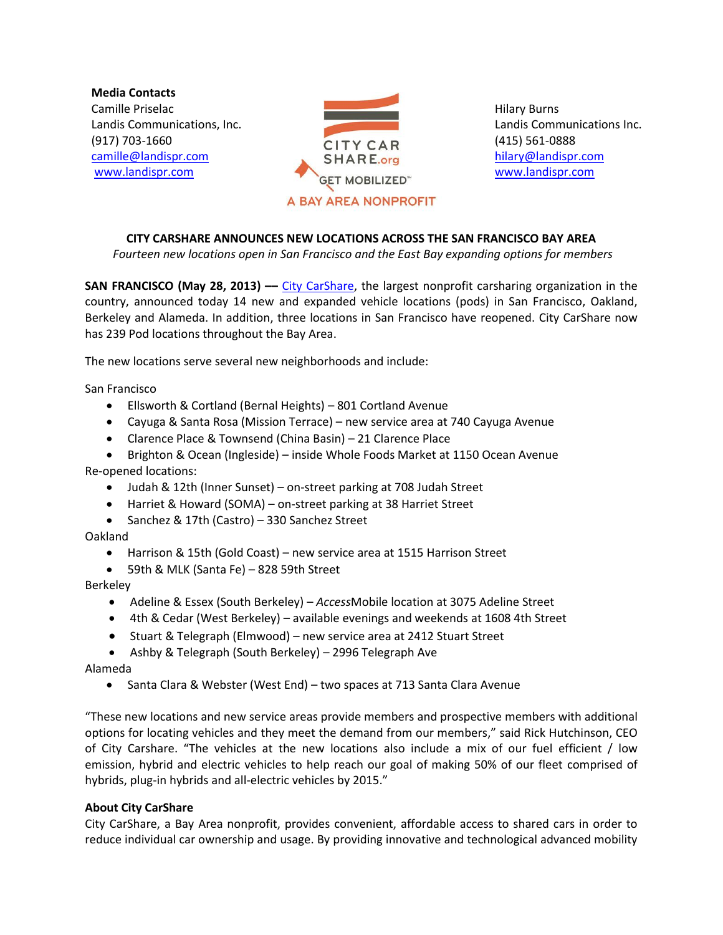**Media Contacts** Camille Priselac Landis Communications, Inc. (917) 703-1660 [camille@landispr.com](mailto:camille@landispr.com) [www.landispr.com](http://www.landispr.com/)



Hilary Burns Landis Communications Inc. (415) 561-0888 [hilary@landispr.com](mailto:hilary@landispr.com) [www.landispr.com](http://www.landispr.com/)

## **CITY CARSHARE ANNOUNCES NEW LOCATIONS ACROSS THE SAN FRANCISCO BAY AREA**

*Fourteen new locations open in San Francisco and the East Bay expanding options for members*

**SAN FRANCISCO (May 28, 2013) ––** City [CarShare,](http://www.citycarshare.org/) the largest nonprofit carsharing organization in the country, announced today 14 new and expanded vehicle locations (pods) in San Francisco, Oakland, Berkeley and Alameda. In addition, three locations in San Francisco have reopened. City CarShare now has 239 Pod locations throughout the Bay Area.

The new locations serve several new neighborhoods and include:

San Francisco

- Ellsworth & Cortland (Bernal Heights) 801 Cortland Avenue
- Cayuga & Santa Rosa (Mission Terrace) new service area at 740 Cayuga Avenue
- Clarence Place & Townsend (China Basin) 21 Clarence Place

 Brighton & Ocean (Ingleside) – inside Whole Foods Market at 1150 Ocean Avenue Re-opened locations:

- Judah & 12th (Inner Sunset) on-street parking at 708 Judah Street
- Harriet & Howard (SOMA) on-street parking at 38 Harriet Street
- Sanchez & 17th (Castro) 330 Sanchez Street

Oakland

- Harrison & 15th (Gold Coast) new service area at 1515 Harrison Street
- 59th & MLK (Santa Fe) 828 59th Street

Berkeley

- Adeline & Essex (South Berkeley) *Access*Mobile location at 3075 Adeline Street
- 4th & Cedar (West Berkeley) available evenings and weekends at 1608 4th Street
- Stuart & Telegraph (Elmwood) new service area at 2412 Stuart Street
- Ashby & Telegraph (South Berkeley) 2996 Telegraph Ave

Alameda

Santa Clara & Webster (West End) – two spaces at 713 Santa Clara Avenue

"These new locations and new service areas provide members and prospective members with additional options for locating vehicles and they meet the demand from our members," said Rick Hutchinson, CEO of City Carshare. "The vehicles at the new locations also include a mix of our fuel efficient / low emission, hybrid and electric vehicles to help reach our goal of making 50% of our fleet comprised of hybrids, plug-in hybrids and all-electric vehicles by 2015."

## **About City CarShare**

City CarShare, a Bay Area nonprofit, provides convenient, affordable access to shared cars in order to reduce individual car ownership and usage. By providing innovative and technological advanced mobility